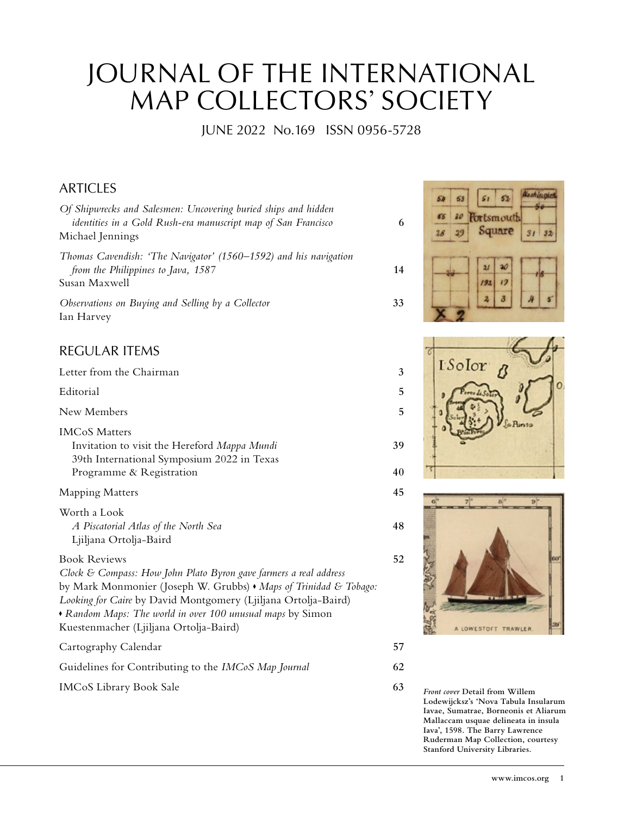## JOURNAL OF THE INTERNATIONAL MAP COLLECTORS' SOCIETY

JUNE 2022 No. 169 ISSN 0956-5728

## ARTICLES

| Of Shipwrecks and Salesmen: Uncovering buried ships and hidden<br>identities in a Gold Rush-era manuscript map of San Francisco<br>Michael Jennings                                                                                                                                                                                     | 6  |  |
|-----------------------------------------------------------------------------------------------------------------------------------------------------------------------------------------------------------------------------------------------------------------------------------------------------------------------------------------|----|--|
| Thomas Cavendish: 'The Navigator' (1560–1592) and his navigation<br>from the Philippines to Java, 1587<br>Susan Maxwell                                                                                                                                                                                                                 | 14 |  |
| Observations on Buying and Selling by a Collector<br>Ian Harvey                                                                                                                                                                                                                                                                         | 33 |  |
| <b>REGULAR ITEMS</b>                                                                                                                                                                                                                                                                                                                    |    |  |
| Letter from the Chairman                                                                                                                                                                                                                                                                                                                | 3  |  |
| Editorial                                                                                                                                                                                                                                                                                                                               | 5  |  |
| New Members                                                                                                                                                                                                                                                                                                                             | 5  |  |
| <b>IMCoS Matters</b><br>Invitation to visit the Hereford Mappa Mundi<br>39th International Symposium 2022 in Texas                                                                                                                                                                                                                      | 39 |  |
| Programme & Registration                                                                                                                                                                                                                                                                                                                | 40 |  |
| <b>Mapping Matters</b>                                                                                                                                                                                                                                                                                                                  | 45 |  |
| Worth a Look<br>A Piscatorial Atlas of the North Sea<br>Ljiljana Ortolja-Baird                                                                                                                                                                                                                                                          | 48 |  |
| <b>Book Reviews</b><br>Clock & Compass: How John Plato Byron gave farmers a real address<br>by Mark Monmonier (Joseph W. Grubbs) • Maps of Trinidad & Tobago:<br>Looking for Caire by David Montgomery (Ljiljana Ortolja-Baird)<br>• Random Maps: The world in over 100 unusual maps by Simon<br>Kuestenmacher (Ljiljana Ortolja-Baird) | 52 |  |
| Cartography Calendar                                                                                                                                                                                                                                                                                                                    | 57 |  |
| Guidelines for Contributing to the IMCoS Map Journal                                                                                                                                                                                                                                                                                    | 62 |  |
|                                                                                                                                                                                                                                                                                                                                         |    |  |

IMCoS Library Book Sale **63** *Front cover* **Detail from Willem** 

Nashington  $52$ 63  $51$ <sup>20</sup> Portsmouth Square  $29$  $31$  $32$  $\overline{\mathcal{W}}$  $\overline{2I}$  $192$  $12$  $\boldsymbol{2}$  $\delta$ 





**Lodewijcksz's 'Nova Tabula Insularum Iavae, Sumatrae, Borneonis et Aliarum Mallaccam usquae delineata in insula Iava', 1598. The Barry Lawrence Ruderman Map Collection, courtesy Stanford University Libraries.**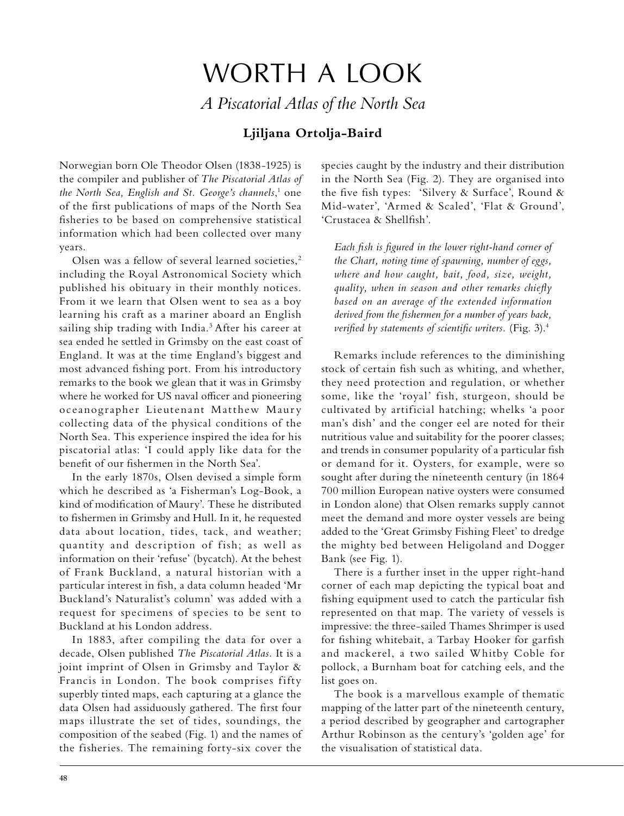## WORTH A LOOK *A Piscatorial Atlas of the North Sea*

## **Ljiljana Ortolja-Baird**

Norwegian born Ole Theodor Olsen (1838-1925) is the compiler and publisher of *The Piscatorial Atlas of*  the North Sea, English and St. George's channels,<sup>1</sup> one of the first publications of maps of the North Sea fisheries to be based on comprehensive statistical information which had been collected over many years.

Olsen was a fellow of several learned societies,<sup>2</sup> including the Royal Astronomical Society which published his obituary in their monthly notices. From it we learn that Olsen went to sea as a boy learning his craft as a mariner aboard an English sailing ship trading with India.<sup>3</sup> After his career at sea ended he settled in Grimsby on the east coast of England. It was at the time England's biggest and most advanced fishing port. From his introductory remarks to the book we glean that it was in Grimsby where he worked for US naval officer and pioneering oceanographer Lieutenant Matthew Maury collecting data of the physical conditions of the North Sea. This experience inspired the idea for his piscatorial atlas: 'I could apply like data for the benefit of our fishermen in the North Sea'.

In the early 1870s, Olsen devised a simple form which he described as 'a Fisherman's Log-Book, a kind of modification of Maury'. These he distributed to fishermen in Grimsby and Hull. In it, he requested data about location, tides, tack, and weather; quantity and description of fish; as well as information on their 'refuse' (bycatch). At the behest of Frank Buckland, a natural historian with a particular interest in fish, a data column headed 'Mr Buckland's Naturalist's column' was added with a request for specimens of species to be sent to Buckland at his London address.

In 1883, after compiling the data for over a decade, Olsen published *Th*e *Piscatorial Atlas.* It is a joint imprint of Olsen in Grimsby and Taylor & Francis in London. The book comprises fifty superbly tinted maps, each capturing at a glance the data Olsen had assiduously gathered. The first four maps illustrate the set of tides, soundings, the composition of the seabed (Fig. 1) and the names of the fisheries. The remaining forty-six cover the

species caught by the industry and their distribution in the North Sea (Fig. 2). They are organised into the five fish types: 'Silvery & Surface', Round & Mid-water', 'Armed & Scaled', 'Flat & Ground', 'Crustacea & Shellfish'.

*Each fish is figured in the lower right-hand corner of the Chart, noting time of spawning, number of eggs, where and how caught, bait, food, size, weight, quality, when in season and other remarks chiefly based on an average of the extended information derived from the fishermen for a number of years back, verified by statements of scientific writers.* (Fig. 3).4

Remarks include references to the diminishing stock of certain fish such as whiting, and whether, they need protection and regulation, or whether some, like the 'royal' fish, sturgeon, should be cultivated by artificial hatching; whelks 'a poor man's dish' and the conger eel are noted for their nutritious value and suitability for the poorer classes; and trends in consumer popularity of a particular fish or demand for it. Oysters, for example, were so sought after during the nineteenth century (in 1864 700 million European native oysters were consumed in London alone) that Olsen remarks supply cannot meet the demand and more oyster vessels are being added to the 'Great Grimsby Fishing Fleet' to dredge the mighty bed between Heligoland and Dogger Bank (see Fig. 1).

There is a further inset in the upper right-hand corner of each map depicting the typical boat and fishing equipment used to catch the particular fish represented on that map. The variety of vessels is impressive: the three-sailed Thames Shrimper is used for fishing whitebait, a Tarbay Hooker for garfish and mackerel, a two sailed Whitby Coble for pollock, a Burnham boat for catching eels, and the list goes on.

The book is a marvellous example of thematic mapping of the latter part of the nineteenth century, a period described by geographer and cartographer Arthur Robinson as the century's 'golden age' for the visualisation of statistical data.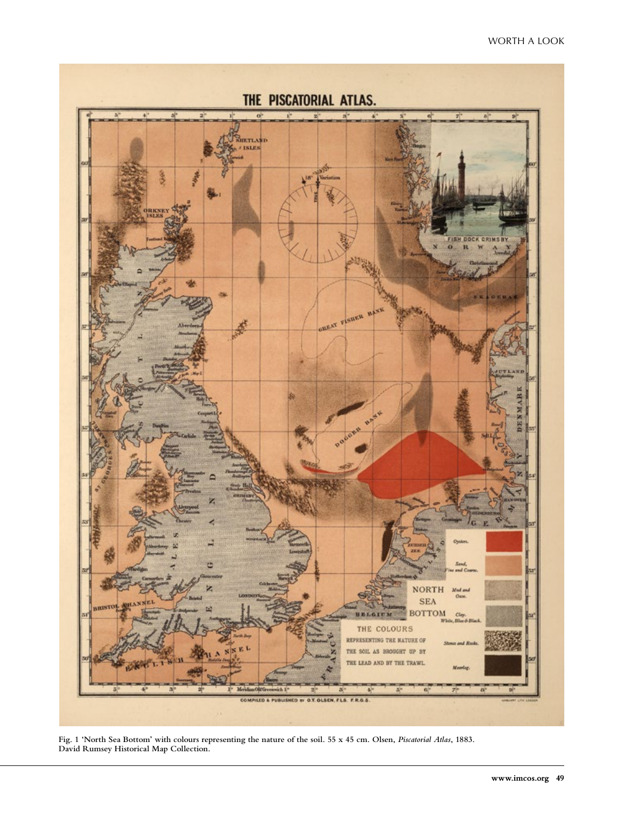

**Fig. 1 'North Sea Bottom' with colours representing the nature of the soil. 55 x 45 cm. Olsen,** *Piscatorial Atlas***, 1883. David Rumsey Historical Map Collection.**